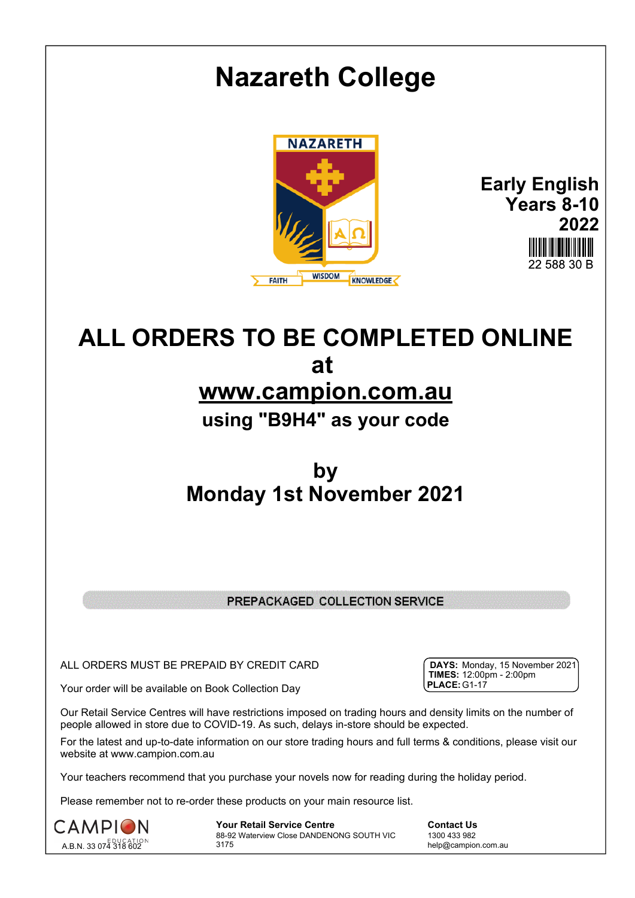

# **www.campion.com.au**

# **using "B9H4" as your code**

## **by Monday 1st November 2021**

### PREPACKAGED COLLECTION SERVICE

ALL ORDERS MUST BE PREPAID BY CREDIT CARD

Your order will be available on Book Collection Day

Our Retail Service Centres will have restrictions imposed on trading hours and density limits on the number of people allowed in store due to COVID-19. As such, delays in-store should be expected.

For the latest and up-to-date information on our store trading hours and full terms & conditions, please visit our website at www.campion.com.au

Your teachers recommend that you purchase your novels now for reading during the holiday period.

Please remember not to re-order these products on your main resource list.



**Your Retail Service Centre Contact Us** 88-92 Waterview Close DANDENONG SOUTH VIC 3175

1300 433 982 help@campion.com.au

| <b>DAYS:</b> Monday, 15 November 2021)           |  |  |
|--------------------------------------------------|--|--|
| <b>TIMES:</b> $12:00 \text{pm} - 2:00 \text{pm}$ |  |  |
| <b>PLACE: G1-17</b>                              |  |  |